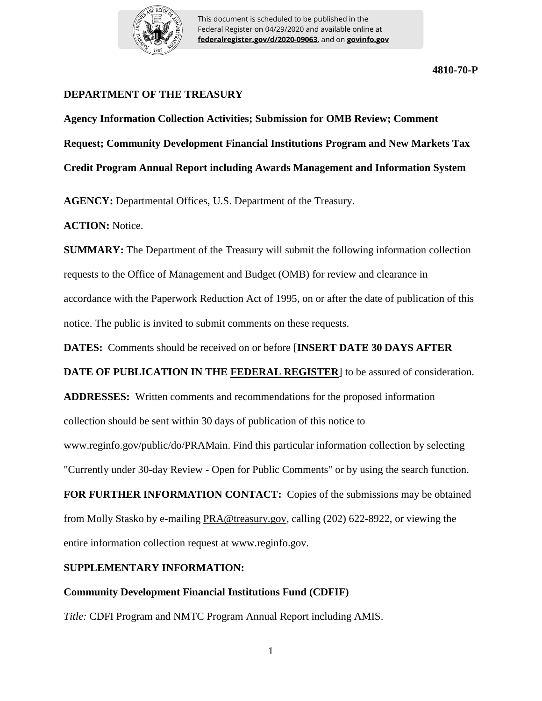

This document is scheduled to be published in the Federal Register on 04/29/2020 and available online at **federalregister.gov/d/2020-09063**, and on **govinfo.gov**

**4810-70-P**

## **DEPARTMENT OF THE TREASURY**

**Agency Information Collection Activities; Submission for OMB Review; Comment Request; Community Development Financial Institutions Program and New Markets Tax Credit Program Annual Report including Awards Management and Information System**

**AGENCY:** Departmental Offices, U.S. Department of the Treasury.

**ACTION:** Notice.

**SUMMARY:** The Department of the Treasury will submit the following information collection requests to the Office of Management and Budget (OMB) for review and clearance in accordance with the Paperwork Reduction Act of 1995, on or after the date of publication of this notice. The public is invited to submit comments on these requests.

**DATES:** Comments should be received on or before [**INSERT DATE 30 DAYS AFTER** 

**DATE OF PUBLICATION IN THE FEDERAL REGISTER**] to be assured of consideration.

**ADDRESSES:** Written comments and recommendations for the proposed information collection should be sent within 30 days of publication of this notice to

www.reginfo.gov/public/do/PRAMain. Find this particular information collection by selecting

"Currently under 30-day Review - Open for Public Comments" or by using the search function.

**FOR FURTHER INFORMATION CONTACT:** Copies of the submissions may be obtained from Molly Stasko by e-mailing PRA@treasury.gov, calling (202) 622-8922, or viewing the entire information collection request at www.reginfo.gov.

### **SUPPLEMENTARY INFORMATION:**

### **Community Development Financial Institutions Fund (CDFIF)**

*Title:* CDFI Program and NMTC Program Annual Report including AMIS.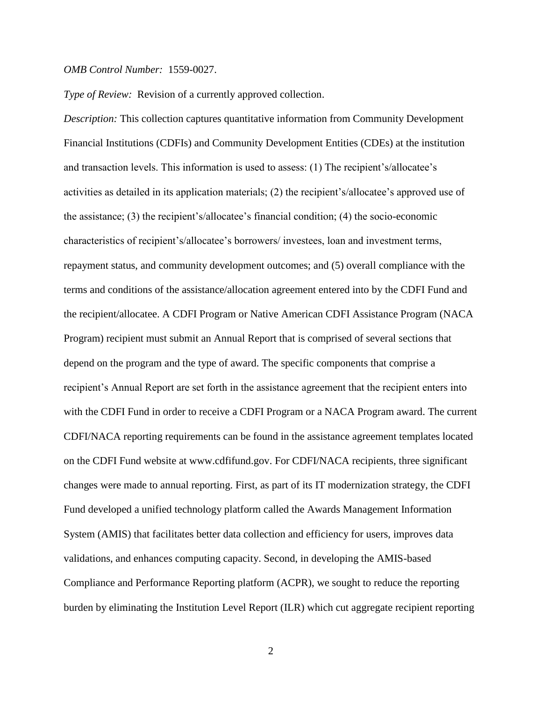#### *OMB Control Number:* 1559-0027.

*Type of Review:* Revision of a currently approved collection.

*Description:* This collection captures quantitative information from Community Development Financial Institutions (CDFIs) and Community Development Entities (CDEs) at the institution and transaction levels. This information is used to assess: (1) The recipient's/allocatee's activities as detailed in its application materials; (2) the recipient's/allocatee's approved use of the assistance; (3) the recipient's/allocatee's financial condition; (4) the socio-economic characteristics of recipient's/allocatee's borrowers/ investees, loan and investment terms, repayment status, and community development outcomes; and (5) overall compliance with the terms and conditions of the assistance/allocation agreement entered into by the CDFI Fund and the recipient/allocatee. A CDFI Program or Native American CDFI Assistance Program (NACA Program) recipient must submit an Annual Report that is comprised of several sections that depend on the program and the type of award. The specific components that comprise a recipient's Annual Report are set forth in the assistance agreement that the recipient enters into with the CDFI Fund in order to receive a CDFI Program or a NACA Program award. The current CDFI/NACA reporting requirements can be found in the assistance agreement templates located on the CDFI Fund website at www.cdfifund.gov. For CDFI/NACA recipients, three significant changes were made to annual reporting. First, as part of its IT modernization strategy, the CDFI Fund developed a unified technology platform called the Awards Management Information System (AMIS) that facilitates better data collection and efficiency for users, improves data validations, and enhances computing capacity. Second, in developing the AMIS-based Compliance and Performance Reporting platform (ACPR), we sought to reduce the reporting burden by eliminating the Institution Level Report (ILR) which cut aggregate recipient reporting

2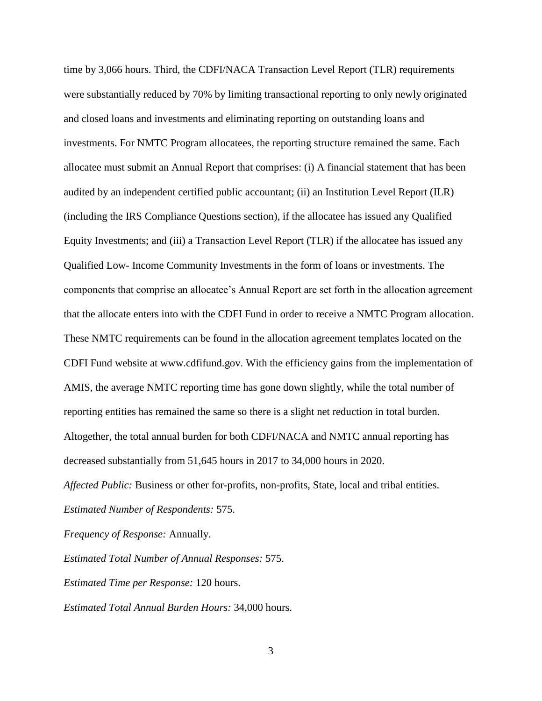time by 3,066 hours. Third, the CDFI/NACA Transaction Level Report (TLR) requirements were substantially reduced by 70% by limiting transactional reporting to only newly originated and closed loans and investments and eliminating reporting on outstanding loans and investments. For NMTC Program allocatees, the reporting structure remained the same. Each allocatee must submit an Annual Report that comprises: (i) A financial statement that has been audited by an independent certified public accountant; (ii) an Institution Level Report (ILR) (including the IRS Compliance Questions section), if the allocatee has issued any Qualified Equity Investments; and (iii) a Transaction Level Report (TLR) if the allocatee has issued any Qualified Low- Income Community Investments in the form of loans or investments. The components that comprise an allocatee's Annual Report are set forth in the allocation agreement that the allocate enters into with the CDFI Fund in order to receive a NMTC Program allocation. These NMTC requirements can be found in the allocation agreement templates located on the CDFI Fund website at www.cdfifund.gov. With the efficiency gains from the implementation of AMIS, the average NMTC reporting time has gone down slightly, while the total number of reporting entities has remained the same so there is a slight net reduction in total burden. Altogether, the total annual burden for both CDFI/NACA and NMTC annual reporting has decreased substantially from 51,645 hours in 2017 to 34,000 hours in 2020.

*Affected Public:* Business or other for-profits, non-profits, State, local and tribal entities. *Estimated Number of Respondents:* 575.

*Frequency of Response:* Annually.

*Estimated Total Number of Annual Responses:* 575.

*Estimated Time per Response:* 120 hours.

*Estimated Total Annual Burden Hours:* 34,000 hours.

3